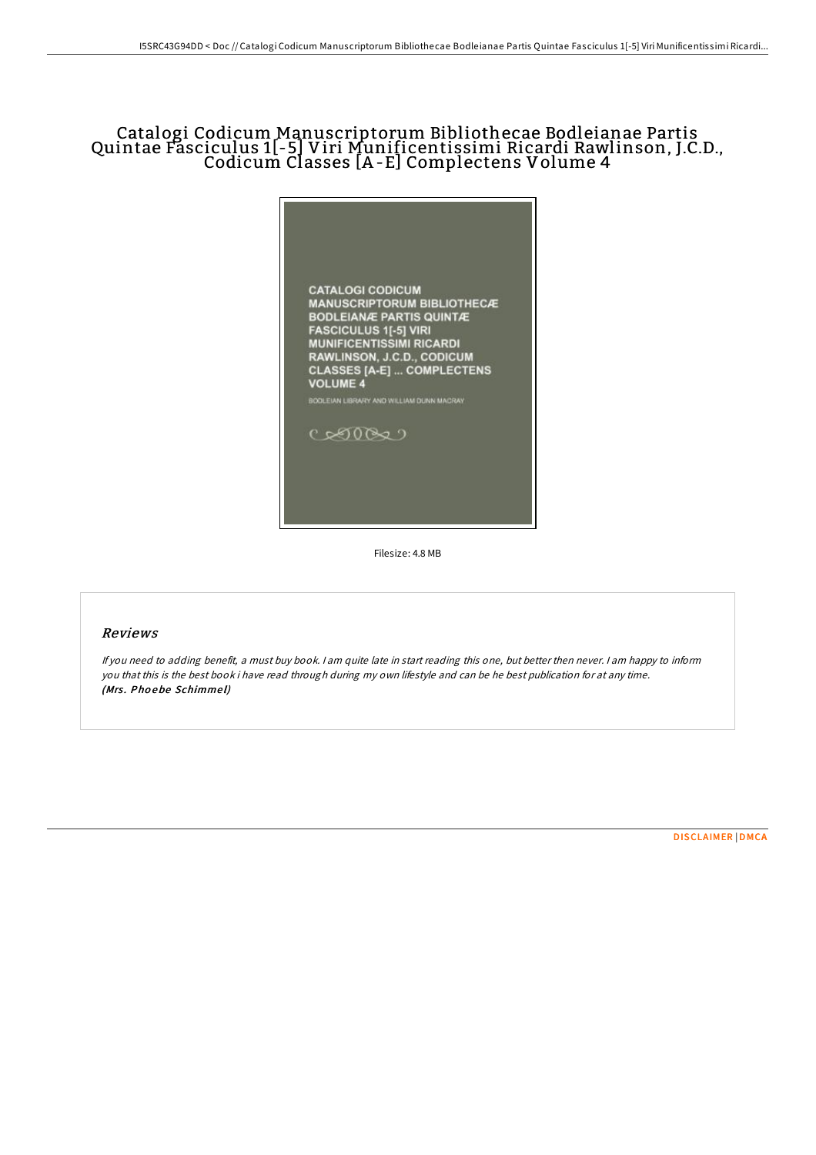## Catalogi Codicum Manuscriptorum Bibliothecae Bodleianae Partis Quintae Fasciculus 1[-5] Viri Munificentissimi Ricardi Rawlinson, J.C.D., Codicum Classes [A -E] Complectens Volume 4



Filesize: 4.8 MB

## Reviews

If you need to adding benefit, <sup>a</sup> must buy book. <sup>I</sup> am quite late in start reading this one, but better then never. <sup>I</sup> am happy to inform you that this is the best book i have read through during my own lifestyle and can be he best publication for at any time. (Mrs. Phoebe Schimmel)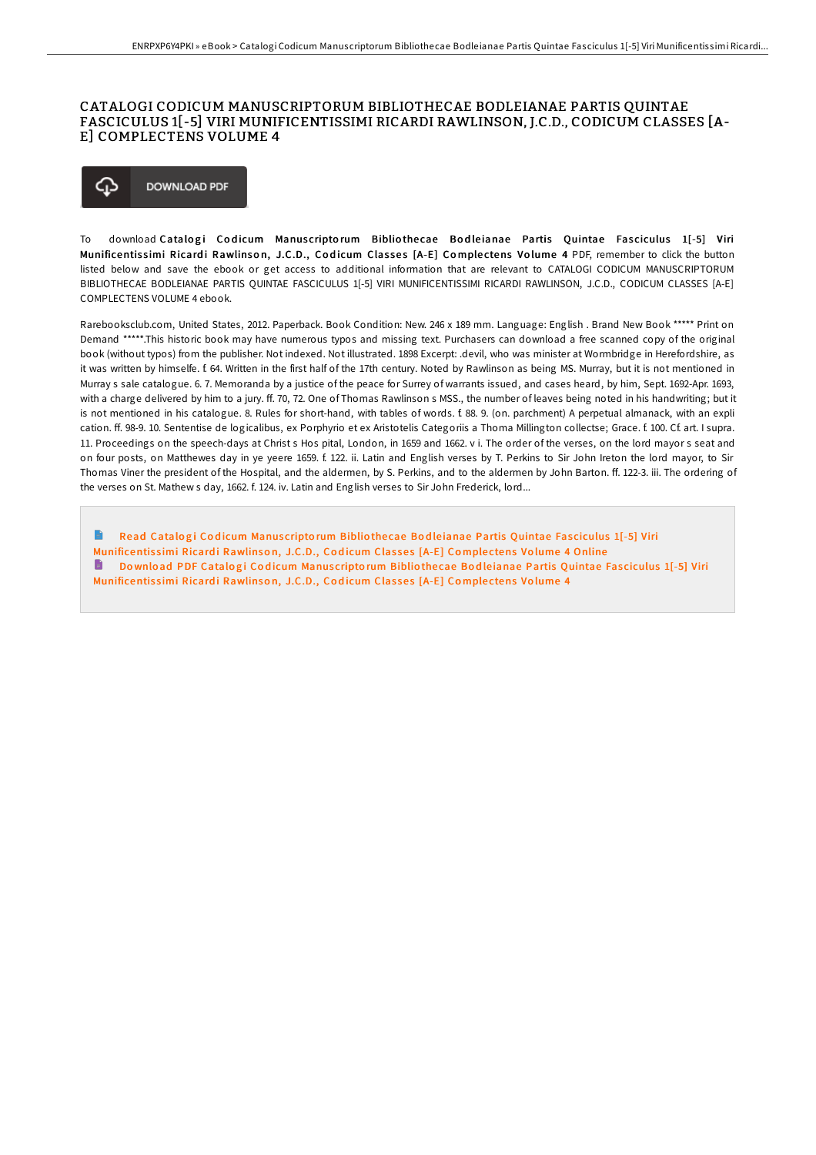## CATALOGI CODICUM MANUSCRIPTORUM BIBLIOTHECAE BODLEIANAE PARTIS QUINTAE FASCICULUS 1[-5] VIRI MUNIFICENTISSIMI RICARDI RAWLINSON, J.C.D., CODICUM CLASSES [A-E] COMPLECTENS VOLUME 4



To download Catalogi Codicum Manuscriptorum Bibliothecae Bodleianae Partis Quintae Fasciculus 1[-5] Viri Munificentissimi Ricardi Rawlinson, J.C.D., Codicum Classes [A-E] Complectens Volume 4 PDF, remember to click the button listed below and save the ebook or get access to additional information that are relevant to CATALOGI CODICUM MANUSCRIPTORUM BIBLIOTHECAE BODLEIANAE PARTIS QUINTAE FASCICULUS 1[-5] VIRI MUNIFICENTISSIMI RICARDI RAWLINSON, J.C.D., CODICUM CLASSES [A-E] COMPLECTENS VOLUME 4 ebook.

Rarebooksclub.com, United States, 2012. Paperback. Book Condition: New. 246 x 189 mm. Language: English . Brand New Book \*\*\*\*\* Print on Demand \*\*\*\*\*.This historic book may have numerous typos and missing text. Purchasers can download a free scanned copy of the original book (without typos) from the publisher. Not indexed. Not illustrated. 1898 Excerpt: .devil, who was minister at Wormbridge in Herefordshire, as it was written by himselfe. f. 64. Written in the first half of the 17th century. Noted by Rawlinson as being MS. Murray, but it is not mentioned in Murray s sale catalogue. 6. 7. Memoranda by a justice of the peace for Surrey of warrants issued, and cases heard, by him, Sept. 1692-Apr. 1693, with a charge delivered by him to a jury. ff. 70, 72. One of Thomas Rawlinson s MSS., the number of leaves being noted in his handwriting; but it is not mentioned in his catalogue. 8. Rules for short-hand, with tables of words. f. 88. 9. (on. parchment) A perpetual almanack, with an expli cation. ff. 98-9. 10. Sententise de logicalibus, ex Porphyrio et ex Aristotelis Categoriis a Thoma Millington collectse; Grace. f. 100. Cf. art. I supra. 11. Proceedings on the speech-days at Christ s Hos pital, London, in 1659 and 1662. v i. The order of the verses, on the lord mayor s seat and on four posts, on Matthewes day in ye yeere 1659. f. 122. ii. Latin and English verses by T. Perkins to Sir John Ireton the lord mayor, to Sir Thomas Viner the president of the Hospital, and the aldermen, by S. Perkins, and to the aldermen by John Barton. ff. 122-3. iii. The ordering of the verses on St. Mathew s day, 1662. f. 124. iv. Latin and English verses to Sir John Frederick, lord...

Read Catalogi Codicum Manuscriptorum Bibliothecae Bodleianae Partis Quintae Fasciculus 1[-5] Viri [Munificentis](http://almighty24.tech/catalogi-codicum-manuscriptorum-bibliothecae-bod-1.html)simi Ricardi Rawlinson, J.C.D., Codicum Classes [A-E] Complectens Volume 4 Online Download PDF Catalogi Codicum Manuscriptorum Bibliothecae Bodleianae Partis Quintae Fasciculus 1[-5] Viri [Munificentis](http://almighty24.tech/catalogi-codicum-manuscriptorum-bibliothecae-bod-1.html)simi Ricardi Rawlinson, J.C.D., Codicum Classes [A-E] Complectens Volume 4